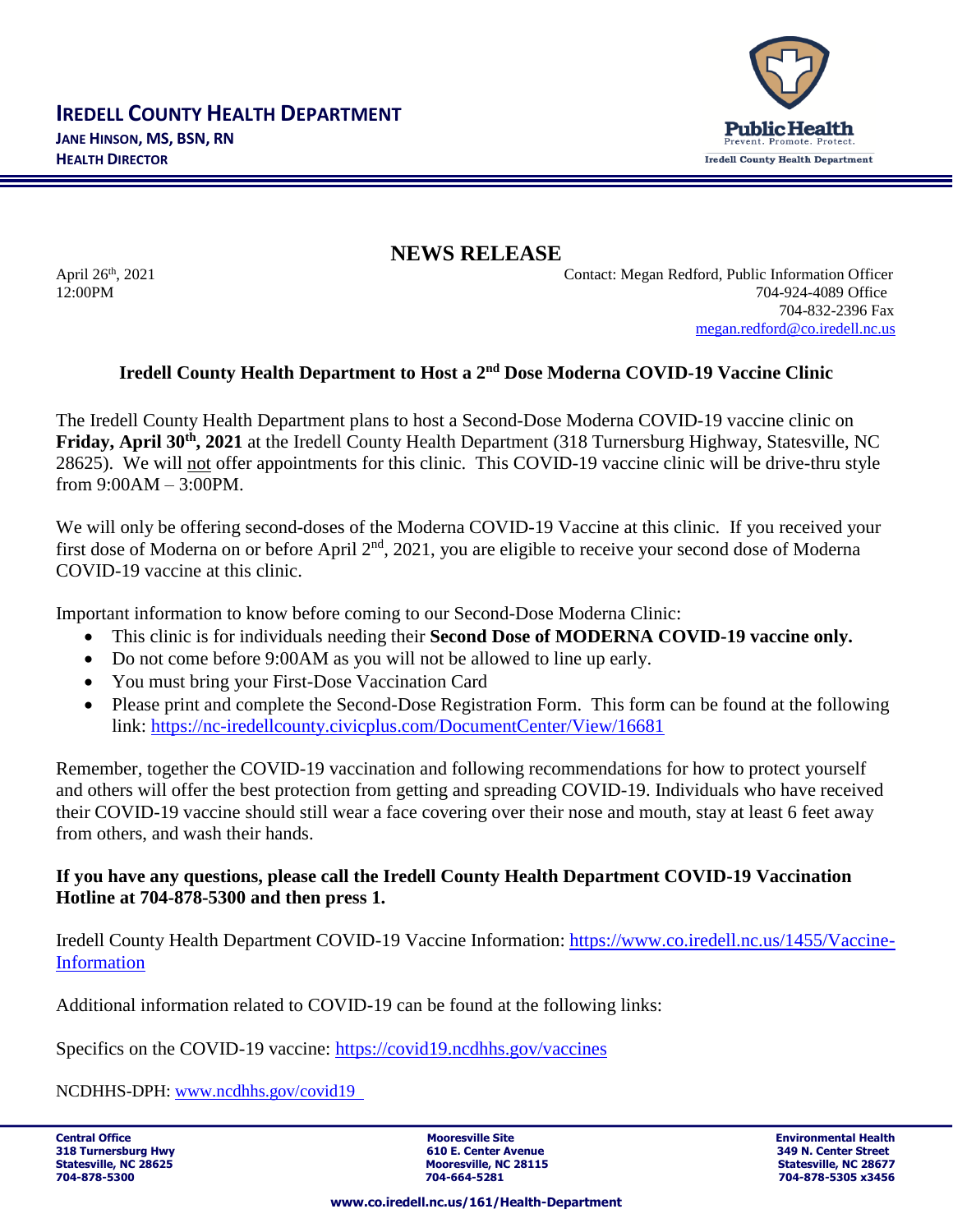

**NEWS RELEASE**

April 26<sup>th</sup>, 2021

Contact: Megan Redford, Public Information Officer 12:00PM 704-924-4089 Office 704-832-2396 Fax [megan.redford@co.iredell.nc.us](mailto:megan.redford@co.iredell.nc.us)

## Iredell County Health Department to Host a 2<sup>nd</sup> Dose Moderna COVID-19 Vaccine Clinic

The Iredell County Health Department plans to host a Second-Dose Moderna COVID-19 vaccine clinic on **Friday, April 30th, 2021** at the Iredell County Health Department (318 Turnersburg Highway, Statesville, NC 28625). We will not offer appointments for this clinic. This COVID-19 vaccine clinic will be drive-thru style from 9:00AM – 3:00PM.

We will only be offering second-doses of the Moderna COVID-19 Vaccine at this clinic. If you received your first dose of Moderna on or before April 2nd, 2021, you are eligible to receive your second dose of Moderna COVID-19 vaccine at this clinic.

Important information to know before coming to our Second-Dose Moderna Clinic:

- This clinic is for individuals needing their **Second Dose of MODERNA COVID-19 vaccine only.**
- Do not come before 9:00 AM as you will not be allowed to line up early.
- You must bring your First-Dose Vaccination Card
- Please print and complete the Second-Dose Registration Form. This form can be found at the following link:<https://nc-iredellcounty.civicplus.com/DocumentCenter/View/16681>

Remember, together the COVID-19 vaccination and following recommendations for how to protect yourself and others will offer the best protection from getting and spreading COVID-19. Individuals who have received their COVID-19 vaccine should still wear a face covering over their nose and mouth, stay at least 6 feet away from others, and wash their hands.

## **If you have any questions, please call the Iredell County Health Department COVID-19 Vaccination Hotline at 704-878-5300 and then press 1.**

Iredell County Health Department COVID-19 Vaccine Information: [https://www.co.iredell.nc.us/1455/Vaccine-](https://www.co.iredell.nc.us/1455/Vaccine-Information)[Information](https://www.co.iredell.nc.us/1455/Vaccine-Information)

Additional information related to COVID-19 can be found at the following links:

Specifics on the COVID-19 vaccine:<https://covid19.ncdhhs.gov/vaccines>

NCDHHS-DPH: [www.ncdhhs.gov/covid19](http://www.ncdhhs.gov/covid19)